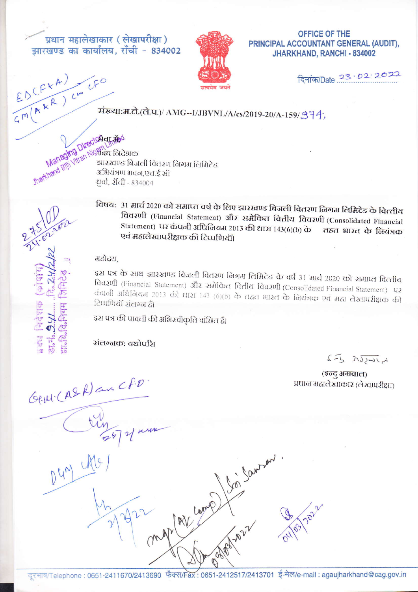प्रधान महालेखाकार (लेखापरीक्षा) झारखण्ड का कार्यालय, राँची - 834002



OFFICE OF THE PRINCIPAL ACCOUNTANT GENERAL (AUDIT). JHARKHAND, RANCHI - 834002

दिनांक/Date 23 . 02 . 2022

## $E_{0}(F^{kA})$ संख्या:म.ले.(ले.प.)/ AMG--I/JBVNL/A/cs/2019-20/A-159/974,

Managing Directorion Sharkhard Billi Vitrah Nielbass Graen झारखण्ड बिजली वितरण निगम लिमिटेड अभियंत्रण भवन.एच.ई.सी धर्वा, रॉवी - 834004

> विषय: 31 मार्च 2020 को समाप्त वर्ष के लिए झारखण्ड बिजली वितरण लिगम लिमिटेड के वित्तीय विवरणी (Financial Statement) और समेकित वितीय विवरणी (Consolidated Financial Statement) पर कंपनी अधिनियम 2013 की धारा 143(6)(b) के तहत भारत के नियंत्रक एवं महालेखापरीक्षक की टिप्पणियॉं।

महोदय.

इस पत्र के साथ झारखण्ड बिजली वितरण लिगम लिमिटेड के वर्ष 31 मार्च 2020 को समाप्त वित्तीय विवरणी (Financial Statement) और समेकित वितीय विवरणी (Consolidated Financial Statement) पर कंपनी अधिनियम 2013 की धारा 143 (6)(b) के तद्यत भारत के नियंत्रक एवं महा लेखापरीक्षक की टिप्पणियॉ संलग्न हैं।

Soi Savon

इस पत्र की पावती की अभिस्वीकृति वांछित हैं।

संलग्नक: यथोपशि

 $2-5$   $\overline{222412}$ 

(इन्दु अग्रवाल) प्रधान महालेखाकार (लेखापरीक्षा)

Gerri (ASA) an CP.D

 $D_{\mathcal{U}}\mathcal{U}^{\mathcal{M}}$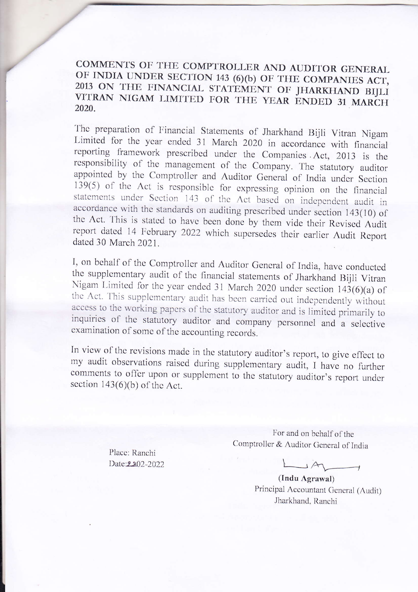COMMENTS OF THE COMPTROLLER AND AUDITOR GENERAL OF INDIA UNDER SECTION 143 (6)(b) OF THE COMPANIES ACT, 2013 ON THE FINANCIAL STATEMENT OF JHARKHAND BIJLI VITRAN NIGAM LIMITED FOR THE YEAR ENDED 31 MARCH 2020.

The preparation of Financial Statements of Jharkhand Bijli Vitran Nigam Limited for the year ended 31 March 2020 in accordance with financial reporting framework prescribed under the Companies Act, 2013 is the responsibility of the management of the Company. The statutory auditor appointed by the Comptroller and Auditor General of India under Section 139(5) of the Act is responsible for expressing opinion on the financial statements under Section 143 of the Act based on independent audit in accordance with the standards on auditing prescribed under section 143(10) of the Act. This is stated to have been done by them vide their Revised Audit report dated 14 February 2022 which supersedes their earlier Audit Report dated 30 March 2021.

I, on behalf of the Comptroller and Auditor General of India, have conducted the supplementary audit of the financial statements of Jharkhand Bijli Vitran Nigam Limited for the year ended 31 March 2020 under section 143(6)(a) of the Act. This supplementary audit has been carried out independently without access to the working papers of the statutory auditor and is limited primarily to inquiries of the statutory auditor and company personnel and a selective examination of some of the accounting records.

In view of the revisions made in the statutory auditor's report, to give effect to my audit observations raised during supplementary audit, I have no further comments to offer upon or supplement to the statutory auditor's report under section  $143(6)(b)$  of the Act.

> Place: Ranchi Date:2202-2022

For and on behalf of the Comptroller & Auditor General of India

JA  $\rightarrow$ 

(Indu Agrawal) Principal Accountant General (Audit) Jharkhand, Ranchi